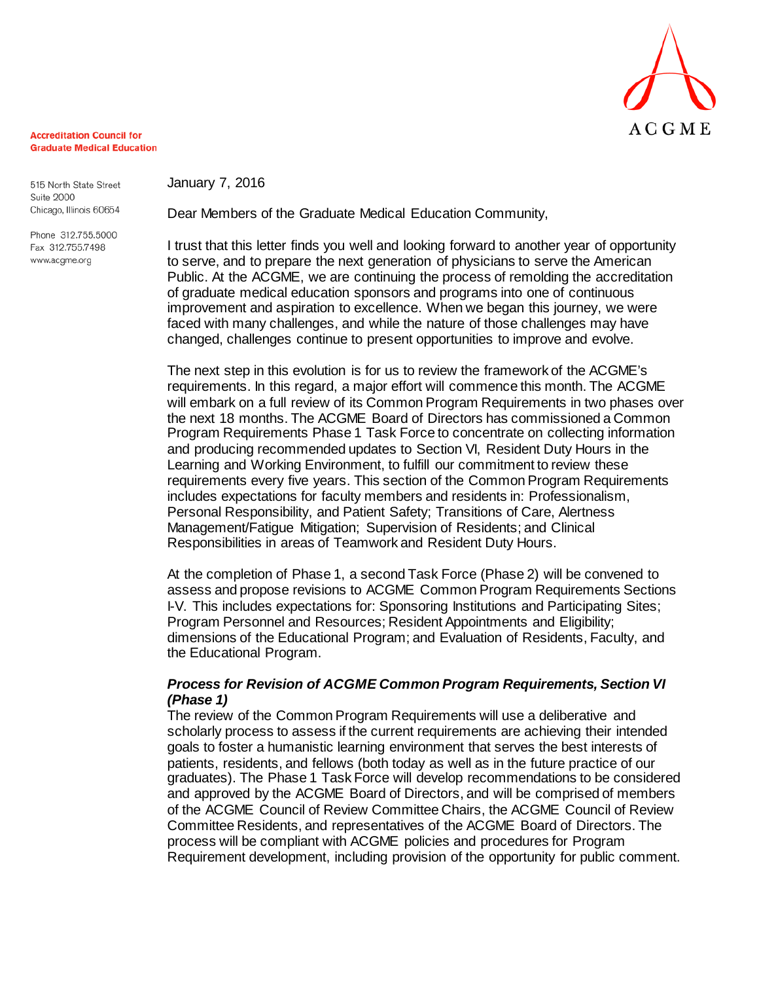

#### **Accreditation Council for Graduate Medical Education**

515 North State Street **Suite 2000** Chicago, Illinois 60654

Phone 312.755.5000 Fax 312.755.7498 www.acgme.org

January 7, 2016

Dear Members of the Graduate Medical Education Community,

I trust that this letter finds you well and looking forward to another year of opportunity to serve, and to prepare the next generation of physicians to serve the American Public. At the ACGME, we are continuing the process of remolding the accreditation of graduate medical education sponsors and programs into one of continuous improvement and aspiration to excellence. When we began this journey, we were faced with many challenges, and while the nature of those challenges may have changed, challenges continue to present opportunities to improve and evolve.

The next step in this evolution is for us to review the framework of the ACGME's requirements. In this regard, a major effort will commence this month. The ACGME will embark on a full review of its Common Program Requirements in two phases over the next 18 months. The ACGME Board of Directors has commissioned a Common Program Requirements Phase 1 Task Force to concentrate on collecting information and producing recommended updates to Section VI, Resident Duty Hours in the Learning and Working Environment, to fulfill our commitment to review these requirements every five years. This section of the Common Program Requirements includes expectations for faculty members and residents in: Professionalism, Personal Responsibility, and Patient Safety; Transitions of Care, Alertness Management/Fatigue Mitigation; Supervision of Residents; and Clinical Responsibilities in areas of Teamwork and Resident Duty Hours.

At the completion of Phase 1, a second Task Force (Phase 2) will be convened to assess and propose revisions to ACGME Common Program Requirements Sections I-V. This includes expectations for: Sponsoring Institutions and Participating Sites; Program Personnel and Resources; Resident Appointments and Eligibility; dimensions of the Educational Program; and Evaluation of Residents, Faculty, and the Educational Program.

# *Process for Revision of ACGME Common Program Requirements, Section VI (Phase 1)*

The review of the Common Program Requirements will use a deliberative and scholarly process to assess if the current requirements are achieving their intended goals to foster a humanistic learning environment that serves the best interests of patients, residents, and fellows (both today as well as in the future practice of our graduates). The Phase 1 Task Force will develop recommendations to be considered and approved by the ACGME Board of Directors, and will be comprised of members of the ACGME Council of Review Committee Chairs, the ACGME Council of Review Committee Residents, and representatives of the ACGME Board of Directors. The process will be compliant with ACGME policies and procedures for Program Requirement development, including provision of the opportunity for public comment.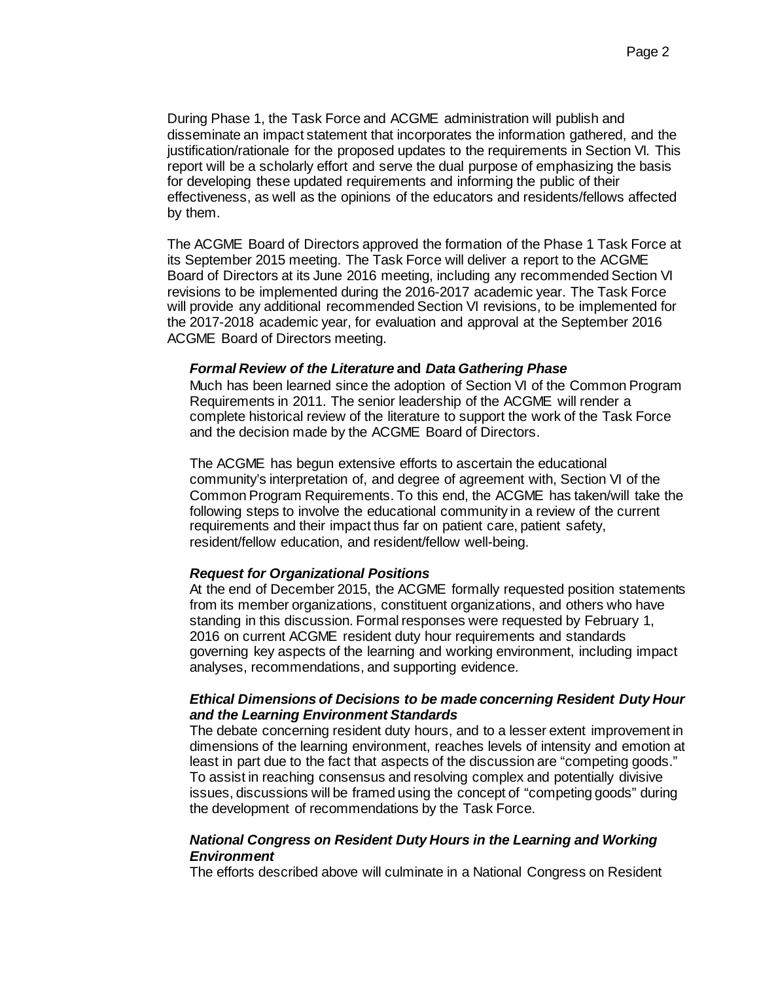During Phase 1, the Task Force and ACGME administration will publish and disseminate an impact statement that incorporates the information gathered, and the justification/rationale for the proposed updates to the requirements in Section VI. This report will be a scholarly effort and serve the dual purpose of emphasizing the basis for developing these updated requirements and informing the public of their effectiveness, as well as the opinions of the educators and residents/fellows affected by them.

The ACGME Board of Directors approved the formation of the Phase 1 Task Force at its September 2015 meeting. The Task Force will deliver a report to the ACGME Board of Directors at its June 2016 meeting, including any recommended Section VI revisions to be implemented during the 2016-2017 academic year. The Task Force will provide any additional recommended Section VI revisions, to be implemented for the 2017-2018 academic year, for evaluation and approval at the September 2016 ACGME Board of Directors meeting.

#### *Formal Review of the Literature* **and** *Data Gathering Phase*

Much has been learned since the adoption of Section VI of the Common Program Requirements in 2011. The senior leadership of the ACGME will render a complete historical review of the literature to support the work of the Task Force and the decision made by the ACGME Board of Directors.

The ACGME has begun extensive efforts to ascertain the educational community's interpretation of, and degree of agreement with, Section VI of the Common Program Requirements. To this end, the ACGME has taken/will take the following steps to involve the educational community in a review of the current requirements and their impact thus far on patient care, patient safety, resident/fellow education, and resident/fellow well-being.

# *Request for Organizational Positions*

At the end of December 2015, the ACGME formally requested position statements from its member organizations, constituent organizations, and others who have standing in this discussion. Formal responses were requested by February 1, 2016 on current ACGME resident duty hour requirements and standards governing key aspects of the learning and working environment, including impact analyses, recommendations, and supporting evidence.

## *Ethical Dimensions of Decisions to be made concerning Resident Duty Hour and the Learning Environment Standards*

The debate concerning resident duty hours, and to a lesser extent improvement in dimensions of the learning environment, reaches levels of intensity and emotion at least in part due to the fact that aspects of the discussion are "competing goods." To assist in reaching consensus and resolving complex and potentially divisive issues, discussions will be framed using the concept of "competing goods" during the development of recommendations by the Task Force.

## *National Congress on Resident Duty Hours in the Learning and Working Environment*

The efforts described above will culminate in a National Congress on Resident